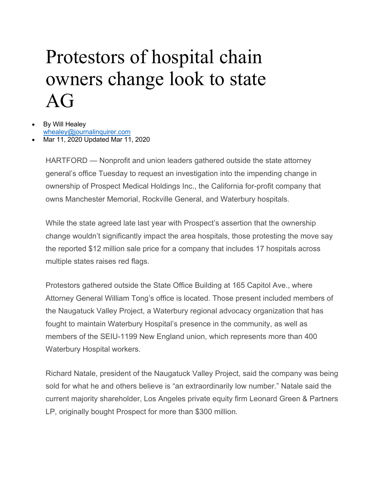## Protestors of hospital chain owners change look to state AG

## By Will Healev whealey@journalinquirer.com

• Mar 11, 2020 Updated Mar 11, 2020

HARTFORD — Nonprofit and union leaders gathered outside the state attorney general's office Tuesday to request an investigation into the impending change in ownership of Prospect Medical Holdings Inc., the California for-profit company that owns Manchester Memorial, Rockville General, and Waterbury hospitals.

While the state agreed late last year with Prospect's assertion that the ownership change wouldn't significantly impact the area hospitals, those protesting the move say the reported \$12 million sale price for a company that includes 17 hospitals across multiple states raises red flags.

Protestors gathered outside the State Office Building at 165 Capitol Ave., where Attorney General William Tong's office is located. Those present included members of the Naugatuck Valley Project, a Waterbury regional advocacy organization that has fought to maintain Waterbury Hospital's presence in the community, as well as members of the SEIU-1199 New England union, which represents more than 400 Waterbury Hospital workers.

Richard Natale, president of the Naugatuck Valley Project, said the company was being sold for what he and others believe is "an extraordinarily low number." Natale said the current majority shareholder, Los Angeles private equity firm Leonard Green & Partners LP, originally bought Prospect for more than \$300 million.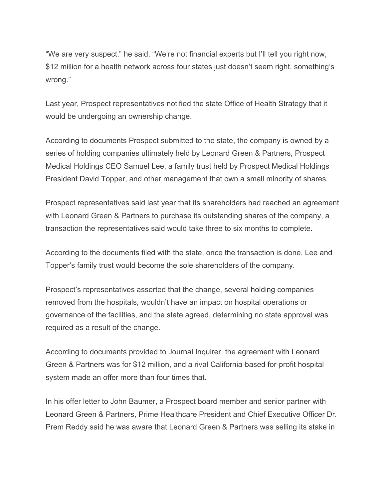"We are very suspect," he said. "We're not financial experts but I'll tell you right now, \$12 million for a health network across four states just doesn't seem right, something's wrong."

Last year, Prospect representatives notified the state Office of Health Strategy that it would be undergoing an ownership change.

According to documents Prospect submitted to the state, the company is owned by a series of holding companies ultimately held by Leonard Green & Partners, Prospect Medical Holdings CEO Samuel Lee, a family trust held by Prospect Medical Holdings President David Topper, and other management that own a small minority of shares.

Prospect representatives said last year that its shareholders had reached an agreement with Leonard Green & Partners to purchase its outstanding shares of the company, a transaction the representatives said would take three to six months to complete.

According to the documents filed with the state, once the transaction is done, Lee and Topper's family trust would become the sole shareholders of the company.

Prospect's representatives asserted that the change, several holding companies removed from the hospitals, wouldn't have an impact on hospital operations or governance of the facilities, and the state agreed, determining no state approval was required as a result of the change.

According to documents provided to Journal Inquirer, the agreement with Leonard Green & Partners was for \$12 million, and a rival California-based for-profit hospital system made an offer more than four times that.

In his offer letter to John Baumer, a Prospect board member and senior partner with Leonard Green & Partners, Prime Healthcare President and Chief Executive Officer Dr. Prem Reddy said he was aware that Leonard Green & Partners was selling its stake in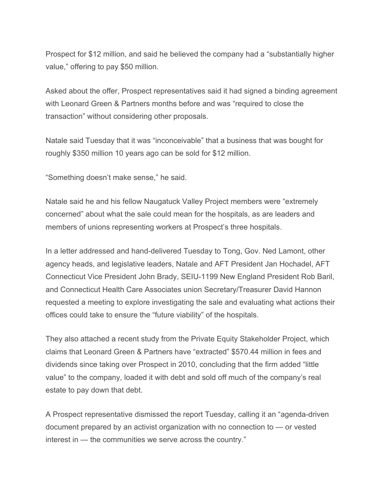Prospect for \$12 million, and said he believed the company had a "substantially higher value," offering to pay \$50 million.

Asked about the offer, Prospect representatives said it had signed a binding agreement with Leonard Green & Partners months before and was "required to close the transaction" without considering other proposals.

Natale said Tuesday that it was "inconceivable" that a business that was bought for roughly \$350 million 10 years ago can be sold for \$12 million.

"Something doesn't make sense," he said.

Natale said he and his fellow Naugatuck Valley Project members were "extremely concerned" about what the sale could mean for the hospitals, as are leaders and members of unions representing workers at Prospect's three hospitals.

In a letter addressed and hand-delivered Tuesday to Tong, Gov. Ned Lamont, other agency heads, and legislative leaders, Natale and AFT President Jan Hochadel, AFT Connecticut Vice President John Brady, SEIU-1199 New England President Rob Baril, and Connecticut Health Care Associates union Secretary/Treasurer David Hannon requested a meeting to explore investigating the sale and evaluating what actions their offices could take to ensure the "future viability" of the hospitals.

They also attached a recent study from the Private Equity Stakeholder Project, which claims that Leonard Green & Partners have "extracted" \$570.44 million in fees and dividends since taking over Prospect in 2010, concluding that the firm added "little value" to the company, loaded it with debt and sold off much of the company's real estate to pay down that debt.

A Prospect representative dismissed the report Tuesday, calling it an "agenda-driven document prepared by an activist organization with no connection to — or vested interest in — the communities we serve across the country."